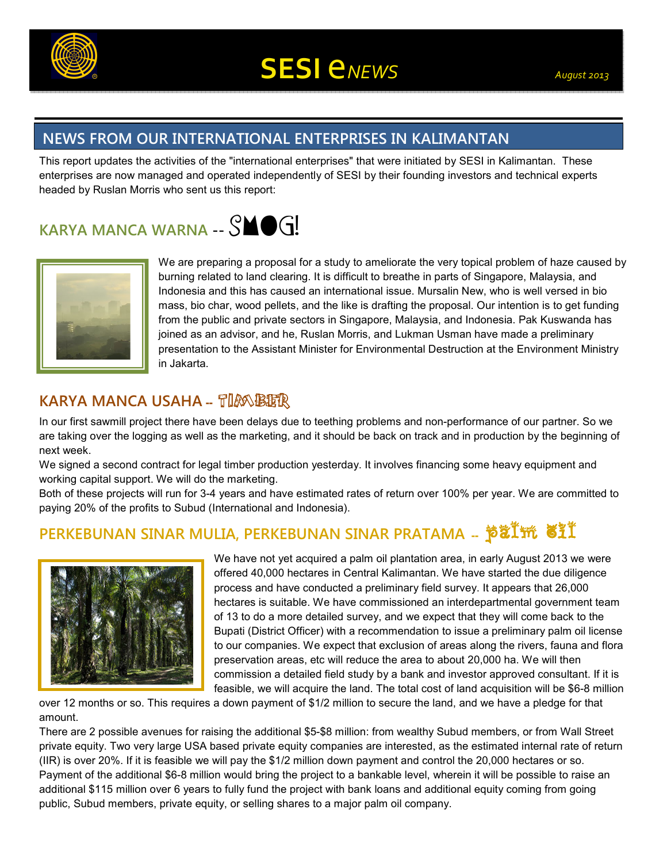

## **NEWS FROM OUR INTERNATIONAL ENTERPRISES IN KALIMANTAN**

This report updates the activities of the "international enterprises" that were initiated by SESI in Kalimantan. These enterprises are now managed and operated independently of SESI by their founding investors and technical experts headed by Ruslan Morris who sent us this report:

# **KARYA MANCA WARNA -- SMOG!**



We are preparing a proposal for a study to ameliorate the very topical problem of haze caused by burning related to land clearing. It is difficult to breathe in parts of Singapore, Malaysia, and Indonesia and this has caused an international issue. Mursalin New, who is well versed in bio mass, bio char, wood pellets, and the like is drafting the proposal. Our intention is to get funding from the public and private sectors in Singapore, Malaysia, and Indonesia. Pak Kuswanda has joined as an advisor, and he, Ruslan Morris, and Lukman Usman have made a preliminary presentation to the Assistant Minister for Environmental Destruction at the Environment Ministry in Jakarta.

### **KARYA MANCA USAHA -- TIMBER**

In our first sawmill project there have been delays due to teething problems and non-performance of our partner. So we are taking over the logging as well as the marketing, and it should be back on track and in production by the beginning of next week.

We signed a second contract for legal timber production yesterday. It involves financing some heavy equipment and working capital support. We will do the marketing.

Both of these projects will run for 3-4 years and have estimated rates of return over 100% per year. We are committed to paying 20% of the profits to Subud (International and Indonesia).

# **PERKEBUNAN SINAR MULIA, PERKEBUNAN SINAR PRATAMA --** palm oil



We have not yet acquired a palm oil plantation area, in early August 2013 we were offered 40,000 hectares in Central Kalimantan. We have started the due diligence process and have conducted a preliminary field survey. It appears that 26,000 hectares is suitable. We have commissioned an interdepartmental government team of 13 to do a more detailed survey, and we expect that they will come back to the Bupati (District Officer) with a recommendation to issue a preliminary palm oil license to our companies. We expect that exclusion of areas along the rivers, fauna and flora preservation areas, etc will reduce the area to about 20,000 ha. We will then commission a detailed field study by a bank and investor approved consultant. If it is feasible, we will acquire the land. The total cost of land acquisition will be \$6-8 million

over 12 months or so. This requires a down payment of \$1/2 million to secure the land, and we have a pledge for that amount.

There are 2 possible avenues for raising the additional \$5-\$8 million: from wealthy Subud members, or from Wall Street private equity. Two very large USA based private equity companies are interested, as the estimated internal rate of return (IIR) is over 20%. If it is feasible we will pay the \$1/2 million down payment and control the 20,000 hectares or so. Payment of the additional \$6-8 million would bring the project to a bankable level, wherein it will be possible to raise an additional \$115 million over 6 years to fully fund the project with bank loans and additional equity coming from going public, Subud members, private equity, or selling shares to a major palm oil company.